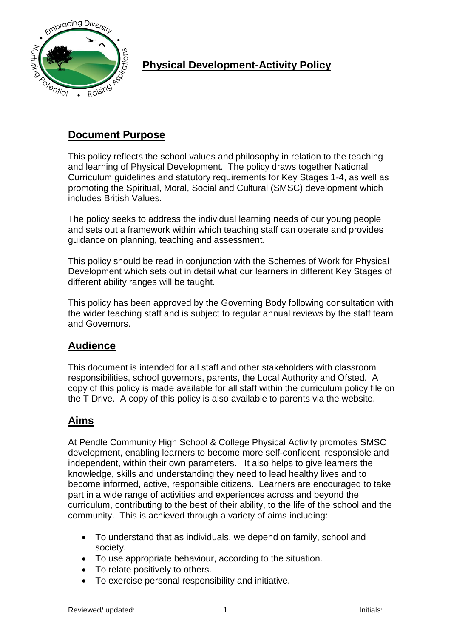

## **Document Purpose**

This policy reflects the school values and philosophy in relation to the teaching and learning of Physical Development. The policy draws together National Curriculum guidelines and statutory requirements for Key Stages 1-4, as well as promoting the Spiritual, Moral, Social and Cultural (SMSC) development which includes British Values.

The policy seeks to address the individual learning needs of our young people and sets out a framework within which teaching staff can operate and provides guidance on planning, teaching and assessment.

This policy should be read in conjunction with the Schemes of Work for Physical Development which sets out in detail what our learners in different Key Stages of different ability ranges will be taught.

This policy has been approved by the Governing Body following consultation with the wider teaching staff and is subject to regular annual reviews by the staff team and Governors.

#### **Audience**

This document is intended for all staff and other stakeholders with classroom responsibilities, school governors, parents, the Local Authority and Ofsted. A copy of this policy is made available for all staff within the curriculum policy file on the T Drive. A copy of this policy is also available to parents via the website.

#### **Aims**

At Pendle Community High School & College Physical Activity promotes SMSC development, enabling learners to become more self-confident, responsible and independent, within their own parameters. It also helps to give learners the knowledge, skills and understanding they need to lead healthy lives and to become informed, active, responsible citizens. Learners are encouraged to take part in a wide range of activities and experiences across and beyond the curriculum, contributing to the best of their ability, to the life of the school and the community. This is achieved through a variety of aims including:

- To understand that as individuals, we depend on family, school and society.
- To use appropriate behaviour, according to the situation.
- To relate positively to others.
- To exercise personal responsibility and initiative.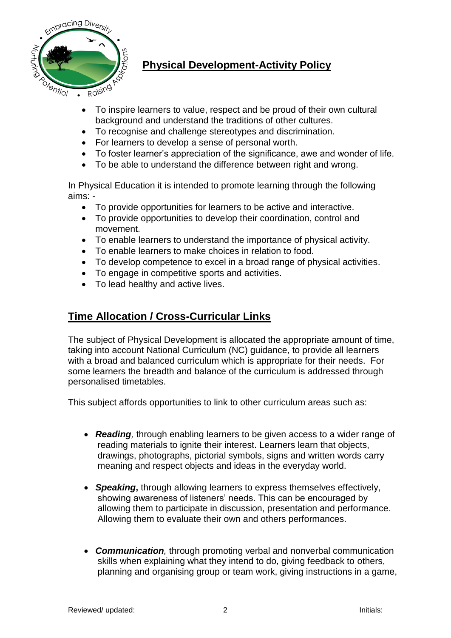

- To inspire learners to value, respect and be proud of their own cultural background and understand the traditions of other cultures.
- To recognise and challenge stereotypes and discrimination.
- For learners to develop a sense of personal worth.
- To foster learner's appreciation of the significance, awe and wonder of life.
- To be able to understand the difference between right and wrong.

In Physical Education it is intended to promote learning through the following aims: -

- To provide opportunities for learners to be active and interactive.
- To provide opportunities to develop their coordination, control and movement.
- To enable learners to understand the importance of physical activity.
- To enable learners to make choices in relation to food.
- To develop competence to excel in a broad range of physical activities.
- To engage in competitive sports and activities.
- To lead healthy and active lives.

# **Time Allocation / Cross-Curricular Links**

The subject of Physical Development is allocated the appropriate amount of time, taking into account National Curriculum (NC) guidance, to provide all learners with a broad and balanced curriculum which is appropriate for their needs. For some learners the breadth and balance of the curriculum is addressed through personalised timetables.

This subject affords opportunities to link to other curriculum areas such as:

- *Reading,* through enabling learners to be given access to a wider range of reading materials to ignite their interest. Learners learn that objects, drawings, photographs, pictorial symbols, signs and written words carry meaning and respect objects and ideas in the everyday world.
- *Speaking***,** through allowing learners to express themselves effectively, showing awareness of listeners' needs. This can be encouraged by allowing them to participate in discussion, presentation and performance. Allowing them to evaluate their own and others performances.
- *Communication,* through promoting verbal and nonverbal communication skills when explaining what they intend to do, giving feedback to others, planning and organising group or team work, giving instructions in a game,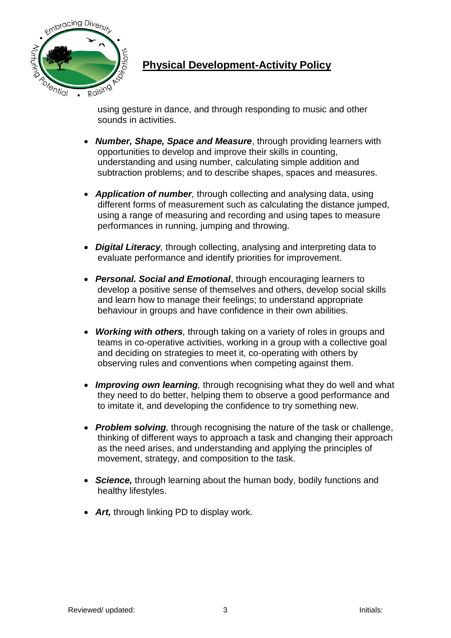

using gesture in dance, and through responding to music and other sounds in activities.

- *Number, Shape, Space and Measure*, through providing learners with opportunities to develop and improve their skills in counting, understanding and using number, calculating simple addition and subtraction problems; and to describe shapes, spaces and measures.
- *Application of number,* through collecting and analysing data, using different forms of measurement such as calculating the distance jumped, using a range of measuring and recording and using tapes to measure performances in running, jumping and throwing.
- *Digital Literacy,* through collecting, analysing and interpreting data to evaluate performance and identify priorities for improvement.
- *Personal. Social and Emotional*, through encouraging learners to develop a positive sense of themselves and others, develop social skills and learn how to manage their feelings; to understand appropriate behaviour in groups and have confidence in their own abilities.
- *Working with others,* through taking on a variety of roles in groups and teams in co-operative activities, working in a group with a collective goal and deciding on strategies to meet it, co-operating with others by observing rules and conventions when competing against them.
- *Improving own learning,* through recognising what they do well and what they need to do better, helping them to observe a good performance and to imitate it, and developing the confidence to try something new.
- *Problem solving,* through recognising the nature of the task or challenge, thinking of different ways to approach a task and changing their approach as the need arises, and understanding and applying the principles of movement, strategy, and composition to the task.
- *Science,* through learning about the human body, bodily functions and healthy lifestyles.
- *Art,* through linking PD to display work*.*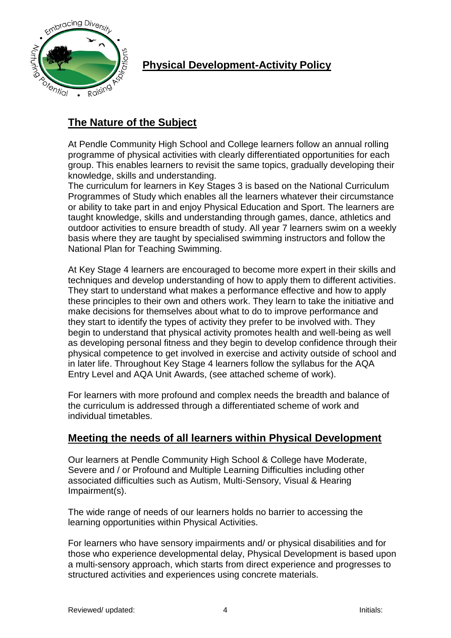

# **The Nature of the Subject**

At Pendle Community High School and College learners follow an annual rolling programme of physical activities with clearly differentiated opportunities for each group. This enables learners to revisit the same topics, gradually developing their knowledge, skills and understanding.

The curriculum for learners in Key Stages 3 is based on the National Curriculum Programmes of Study which enables all the learners whatever their circumstance or ability to take part in and enjoy Physical Education and Sport. The learners are taught knowledge, skills and understanding through games, dance, athletics and outdoor activities to ensure breadth of study. All year 7 learners swim on a weekly basis where they are taught by specialised swimming instructors and follow the National Plan for Teaching Swimming.

At Key Stage 4 learners are encouraged to become more expert in their skills and techniques and develop understanding of how to apply them to different activities. They start to understand what makes a performance effective and how to apply these principles to their own and others work. They learn to take the initiative and make decisions for themselves about what to do to improve performance and they start to identify the types of activity they prefer to be involved with. They begin to understand that physical activity promotes health and well-being as well as developing personal fitness and they begin to develop confidence through their physical competence to get involved in exercise and activity outside of school and in later life. Throughout Key Stage 4 learners follow the syllabus for the AQA Entry Level and AQA Unit Awards, (see attached scheme of work).

For learners with more profound and complex needs the breadth and balance of the curriculum is addressed through a differentiated scheme of work and individual timetables.

#### **Meeting the needs of all learners within Physical Development**

Our learners at Pendle Community High School & College have Moderate, Severe and / or Profound and Multiple Learning Difficulties including other associated difficulties such as Autism, Multi-Sensory, Visual & Hearing Impairment(s).

The wide range of needs of our learners holds no barrier to accessing the learning opportunities within Physical Activities.

For learners who have sensory impairments and/ or physical disabilities and for those who experience developmental delay, Physical Development is based upon a multi-sensory approach, which starts from direct experience and progresses to structured activities and experiences using concrete materials.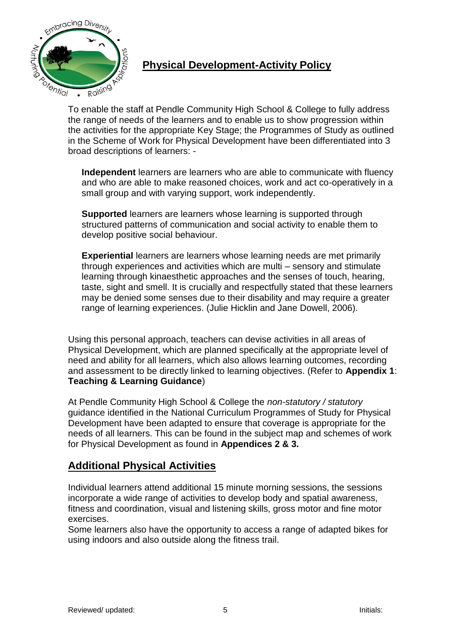

To enable the staff at Pendle Community High School & College to fully address the range of needs of the learners and to enable us to show progression within the activities for the appropriate Key Stage; the Programmes of Study as outlined in the Scheme of Work for Physical Development have been differentiated into 3 broad descriptions of learners: -

**Independent** learners are learners who are able to communicate with fluency and who are able to make reasoned choices, work and act co-operatively in a small group and with varying support, work independently.

**Supported** learners are learners whose learning is supported through structured patterns of communication and social activity to enable them to develop positive social behaviour.

**Experiential** learners are learners whose learning needs are met primarily through experiences and activities which are multi – sensory and stimulate learning through kinaesthetic approaches and the senses of touch, hearing, taste, sight and smell. It is crucially and respectfully stated that these learners may be denied some senses due to their disability and may require a greater range of learning experiences. (Julie Hicklin and Jane Dowell, 2006).

Using this personal approach, teachers can devise activities in all areas of Physical Development, which are planned specifically at the appropriate level of need and ability for all learners, which also allows learning outcomes, recording and assessment to be directly linked to learning objectives. (Refer to **Appendix 1**: **Teaching & Learning Guidance**)

At Pendle Community High School & College the *non-statutory / statutory* guidance identified in the National Curriculum Programmes of Study for Physical Development have been adapted to ensure that coverage is appropriate for the needs of all learners. This can be found in the subject map and schemes of work for Physical Development as found in **Appendices 2 & 3.**

#### **Additional Physical Activities**

Individual learners attend additional 15 minute morning sessions, the sessions incorporate a wide range of activities to develop body and spatial awareness, fitness and coordination, visual and listening skills, gross motor and fine motor exercises.

Some learners also have the opportunity to access a range of adapted bikes for using indoors and also outside along the fitness trail.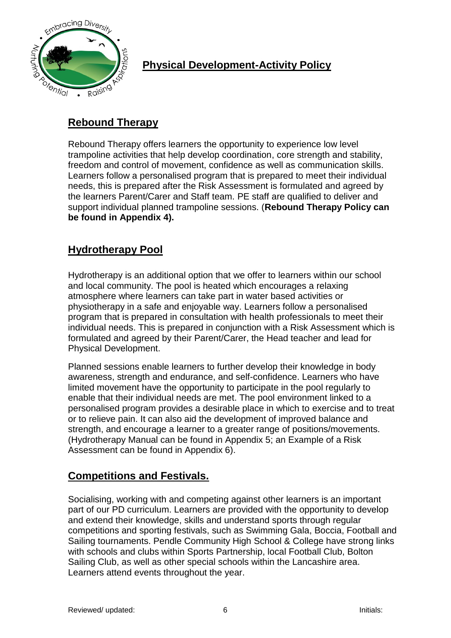

# **Rebound Therapy**

Rebound Therapy offers learners the opportunity to experience low level trampoline activities that help develop coordination, core strength and stability, freedom and control of movement, confidence as well as communication skills. Learners follow a personalised program that is prepared to meet their individual needs, this is prepared after the Risk Assessment is formulated and agreed by the learners Parent/Carer and Staff team. PE staff are qualified to deliver and support individual planned trampoline sessions. (**Rebound Therapy Policy can be found in Appendix 4).**

# **Hydrotherapy Pool**

Hydrotherapy is an additional option that we offer to learners within our school and local community. The pool is heated which encourages a relaxing atmosphere where learners can take part in water based activities or physiotherapy in a safe and enjoyable way. Learners follow a personalised program that is prepared in consultation with health professionals to meet their individual needs. This is prepared in conjunction with a Risk Assessment which is formulated and agreed by their Parent/Carer, the Head teacher and lead for Physical Development.

Planned sessions enable learners to further develop their knowledge in body awareness, strength and endurance, and self-confidence. Learners who have limited movement have the opportunity to participate in the pool regularly to enable that their individual needs are met. The pool environment linked to a personalised program provides a desirable place in which to [exercise and to treat](http://www.spine-health.com/wellness/exercise/exercise-and-back-pain)  [or to relieve pain.](http://www.spine-health.com/wellness/exercise/exercise-and-back-pain) It can also aid the development of improved balance and strength, and encourage a learner to a greater range of positions/movements. (Hydrotherapy Manual can be found in Appendix 5; an Example of a Risk Assessment can be found in Appendix 6).

## **Competitions and Festivals.**

Socialising, working with and competing against other learners is an important part of our PD curriculum. Learners are provided with the opportunity to develop and extend their knowledge, skills and understand sports through regular competitions and sporting festivals, such as Swimming Gala, Boccia, Football and Sailing tournaments. Pendle Community High School & College have strong links with schools and clubs within Sports Partnership, local Football Club, Bolton Sailing Club, as well as other special schools within the Lancashire area. Learners attend events throughout the year.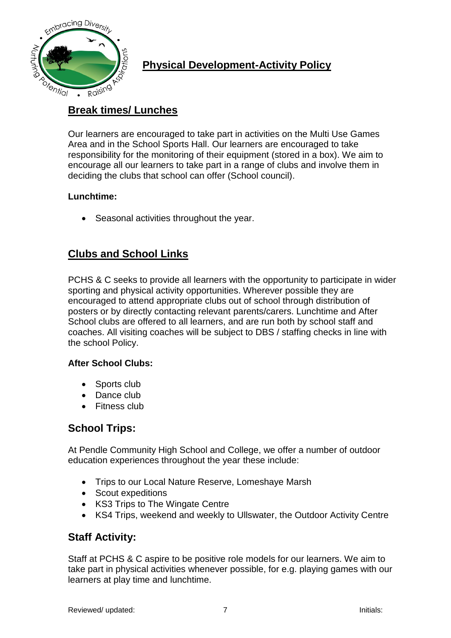

## **Break times/ Lunches**

Our learners are encouraged to take part in activities on the Multi Use Games Area and in the School Sports Hall. Our learners are encouraged to take responsibility for the monitoring of their equipment (stored in a box). We aim to encourage all our learners to take part in a range of clubs and involve them in deciding the clubs that school can offer (School council).

#### **Lunchtime:**

• Seasonal activities throughout the year.

## **Clubs and School Links**

PCHS & C seeks to provide all learners with the opportunity to participate in wider sporting and physical activity opportunities. Wherever possible they are encouraged to attend appropriate clubs out of school through distribution of posters or by directly contacting relevant parents/carers. Lunchtime and After School clubs are offered to all learners, and are run both by school staff and coaches. All visiting coaches will be subject to DBS / staffing checks in line with the school Policy.

#### **After School Clubs:**

- Sports club
- Dance club
- Fitness club

#### **School Trips:**

At Pendle Community High School and College, we offer a number of outdoor education experiences throughout the year these include:

- Trips to our Local Nature Reserve, Lomeshaye Marsh
- Scout expeditions
- KS3 Trips to The Wingate Centre
- KS4 Trips, weekend and weekly to Ullswater, the Outdoor Activity Centre

#### **Staff Activity:**

Staff at PCHS & C aspire to be positive role models for our learners. We aim to take part in physical activities whenever possible, for e.g. playing games with our learners at play time and lunchtime.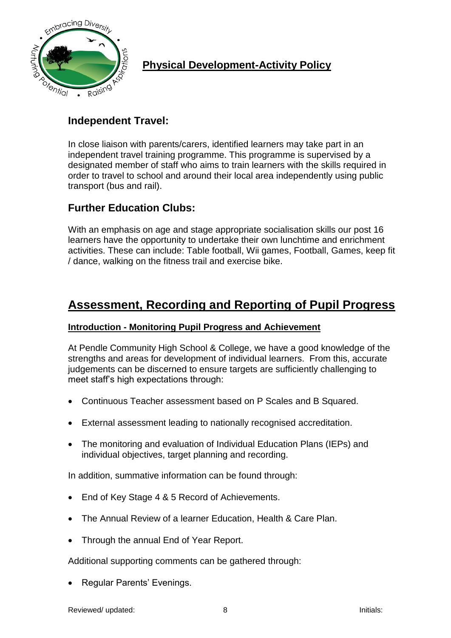

## **Independent Travel:**

In close liaison with parents/carers, identified learners may take part in an independent travel training programme. This programme is supervised by a designated member of staff who aims to train learners with the skills required in order to travel to school and around their local area independently using public transport (bus and rail).

## **Further Education Clubs:**

With an emphasis on age and stage appropriate socialisation skills our post 16 learners have the opportunity to undertake their own lunchtime and enrichment activities. These can include: Table football, Wii games, Football, Games, keep fit / dance, walking on the fitness trail and exercise bike.

# **Assessment, Recording and Reporting of Pupil Progress**

#### **Introduction - Monitoring Pupil Progress and Achievement**

At Pendle Community High School & College, we have a good knowledge of the strengths and areas for development of individual learners. From this, accurate judgements can be discerned to ensure targets are sufficiently challenging to meet staff's high expectations through:

- Continuous Teacher assessment based on P Scales and B Squared.
- External assessment leading to nationally recognised accreditation.
- The monitoring and evaluation of Individual Education Plans (IEPs) and individual objectives, target planning and recording.

In addition, summative information can be found through:

- End of Key Stage 4 & 5 Record of Achievements.
- The Annual Review of a learner Education, Health & Care Plan.
- Through the annual End of Year Report.

Additional supporting comments can be gathered through:

Regular Parents' Evenings.

Reviewed/ updated:  $\overline{\phantom{a}}$  8 Initials: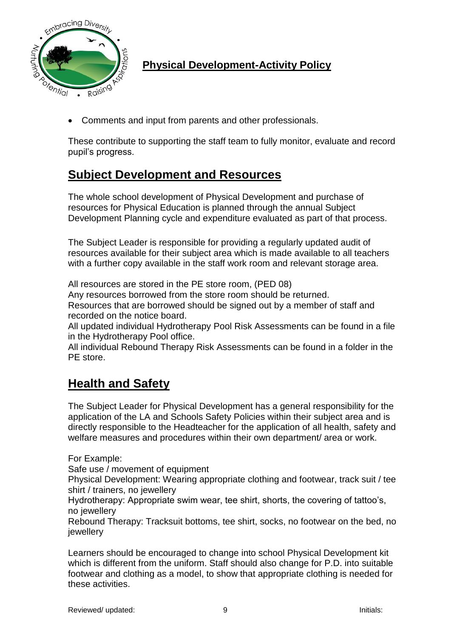

Comments and input from parents and other professionals.

These contribute to supporting the staff team to fully monitor, evaluate and record pupil's progress.

# **Subject Development and Resources**

The whole school development of Physical Development and purchase of resources for Physical Education is planned through the annual Subject Development Planning cycle and expenditure evaluated as part of that process.

The Subject Leader is responsible for providing a regularly updated audit of resources available for their subject area which is made available to all teachers with a further copy available in the staff work room and relevant storage area.

All resources are stored in the PE store room, (PED 08)

Any resources borrowed from the store room should be returned.

Resources that are borrowed should be signed out by a member of staff and recorded on the notice board.

All updated individual Hydrotherapy Pool Risk Assessments can be found in a file in the Hydrotherapy Pool office.

All individual Rebound Therapy Risk Assessments can be found in a folder in the PE store.

# **Health and Safety**

The Subject Leader for Physical Development has a general responsibility for the application of the LA and Schools Safety Policies within their subject area and is directly responsible to the Headteacher for the application of all health, safety and welfare measures and procedures within their own department/ area or work.

#### For Example:

Safe use / movement of equipment

Physical Development: Wearing appropriate clothing and footwear, track suit / tee shirt / trainers, no jewellery

Hydrotherapy: Appropriate swim wear, tee shirt, shorts, the covering of tattoo's, no jewellery

Rebound Therapy: Tracksuit bottoms, tee shirt, socks, no footwear on the bed, no jewellery

Learners should be encouraged to change into school Physical Development kit which is different from the uniform. Staff should also change for P.D. into suitable footwear and clothing as a model, to show that appropriate clothing is needed for these activities.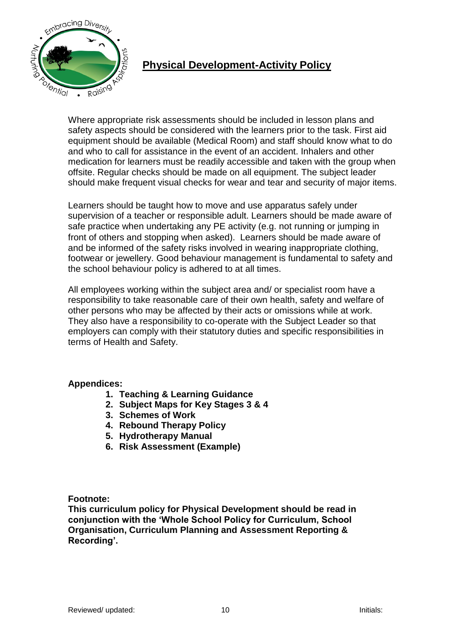

Where appropriate risk assessments should be included in lesson plans and safety aspects should be considered with the learners prior to the task. First aid equipment should be available (Medical Room) and staff should know what to do and who to call for assistance in the event of an accident. Inhalers and other medication for learners must be readily accessible and taken with the group when offsite. Regular checks should be made on all equipment. The subject leader should make frequent visual checks for wear and tear and security of major items.

Learners should be taught how to move and use apparatus safely under supervision of a teacher or responsible adult. Learners should be made aware of safe practice when undertaking any PE activity (e.g. not running or jumping in front of others and stopping when asked). Learners should be made aware of and be informed of the safety risks involved in wearing inappropriate clothing, footwear or jewellery. Good behaviour management is fundamental to safety and the school behaviour policy is adhered to at all times.

All employees working within the subject area and/ or specialist room have a responsibility to take reasonable care of their own health, safety and welfare of other persons who may be affected by their acts or omissions while at work. They also have a responsibility to co-operate with the Subject Leader so that employers can comply with their statutory duties and specific responsibilities in terms of Health and Safety.

#### **Appendices:**

- **1. Teaching & Learning Guidance**
- **2. Subject Maps for Key Stages 3 & 4**
- **3. Schemes of Work**
- **4. Rebound Therapy Policy**
- **5. Hydrotherapy Manual**
- **6. Risk Assessment (Example)**

**Footnote:**

**This curriculum policy for Physical Development should be read in conjunction with the 'Whole School Policy for Curriculum, School Organisation, Curriculum Planning and Assessment Reporting & Recording'.**